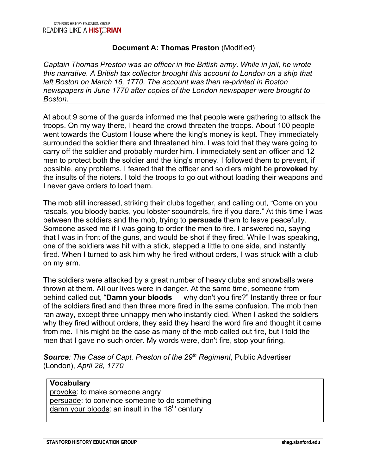## **Document A: Thomas Preston** (Modified)

*Captain Thomas Preston was an officer in the British army. While in jail, he wrote this narrative. A British tax collector brought this account to London on a ship that left Boston on March 16, 1770. The account was then re-printed in Boston newspapers in June 1770 after copies of the London newspaper were brought to Boston.*

At about 9 some of the guards informed me that people were gathering to attack the troops. On my way there, I heard the crowd threaten the troops. About 100 people went towards the Custom House where the king's money is kept. They immediately surrounded the soldier there and threatened him. I was told that they were going to carry off the soldier and probably murder him. I immediately sent an officer and 12 men to protect both the soldier and the king's money. I followed them to prevent, if possible, any problems. I feared that the officer and soldiers might be **provoked** by the insults of the rioters. I told the troops to go out without loading their weapons and I never gave orders to load them.

The mob still increased, striking their clubs together, and calling out, "Come on you rascals, you bloody backs, you lobster scoundrels, fire if you dare." At this time I was between the soldiers and the mob, trying to **persuade** them to leave peacefully. Someone asked me if I was going to order the men to fire. I answered no, saying that I was in front of the guns, and would be shot if they fired. While I was speaking, one of the soldiers was hit with a stick, stepped a little to one side, and instantly fired. When I turned to ask him why he fired without orders, I was struck with a club on my arm.

The soldiers were attacked by a great number of heavy clubs and snowballs were thrown at them. All our lives were in danger. At the same time, someone from behind called out, "**Damn your bloods** — why don't you fire?" Instantly three or four of the soldiers fired and then three more fired in the same confusion. The mob then ran away, except three unhappy men who instantly died. When I asked the soldiers why they fired without orders, they said they heard the word fire and thought it came from me. This might be the case as many of the mob called out fire, but I told the men that I gave no such order. My words were, don't fire, stop your firing.

*Source: The Case of Capt. Preston of the 29th Regiment,* Public Advertiser (London), *April 28, 1770*

### **Vocabulary**

provoke: to make someone angry persuade: to convince someone to do something  $\overline{\mathsf{damm}}$  your bloods: an insult in the 18<sup>th</sup> century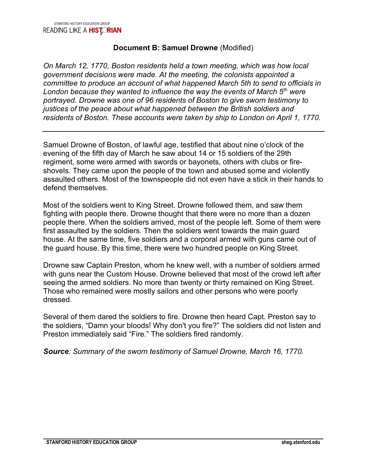## **Document B: Samuel Drowne** (Modified)

*On March 12, 1770, Boston residents held a town meeting, which was how local government decisions were made. At the meeting, the colonists appointed a committee to produce an account of what happened March 5th to send to officials in London because they wanted to influence the way the events of March 5th were portrayed. Drowne was one of 96 residents of Boston to give sworn testimony to justices of the peace about what happened between the British soldiers and residents of Boston. These accounts were taken by ship to London on April 1, 1770.* 

Samuel Drowne of Boston, of lawful age, testified that about nine o'clock of the evening of the fifth day of March he saw about 14 or 15 soldiers of the 29th regiment, some were armed with swords or bayonets, others with clubs or fireshovels. They came upon the people of the town and abused some and violently assaulted others. Most of the townspeople did not even have a stick in their hands to defend themselves.

Most of the soldiers went to King Street. Drowne followed them, and saw them fighting with people there. Drowne thought that there were no more than a dozen people there. When the soldiers arrived, most of the people left. Some of them were first assaulted by the soldiers. Then the soldiers went towards the main guard house. At the same time, five soldiers and a corporal armed with guns came out of the guard house. By this time, there were two hundred people on King Street.

Drowne saw Captain Preston, whom he knew well, with a number of soldiers armed with guns near the Custom House. Drowne believed that most of the crowd left after seeing the armed soldiers. No more than twenty or thirty remained on King Street. Those who remained were mostly sailors and other persons who were poorly dressed.

Several of them dared the soldiers to fire. Drowne then heard Capt. Preston say to the soldiers, "Damn your bloods! Why don't you fire?" The soldiers did not listen and Preston immediately said "Fire." The soldiers fired randomly.

*Source: Summary of the sworn testimony of Samuel Drowne, March 16, 1770.*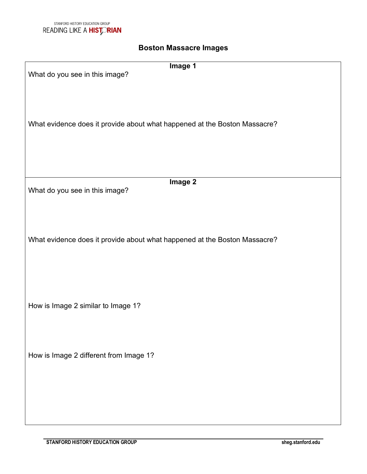# **Boston Massacre Images**

| Image 1                                                                   |
|---------------------------------------------------------------------------|
| What do you see in this image?                                            |
|                                                                           |
|                                                                           |
|                                                                           |
|                                                                           |
|                                                                           |
| What evidence does it provide about what happened at the Boston Massacre? |
|                                                                           |
|                                                                           |
|                                                                           |
|                                                                           |
|                                                                           |
|                                                                           |
| Image 2                                                                   |
| What do you see in this image?                                            |
|                                                                           |
|                                                                           |
|                                                                           |
|                                                                           |
|                                                                           |
| What evidence does it provide about what happened at the Boston Massacre? |
|                                                                           |
|                                                                           |
|                                                                           |
|                                                                           |
|                                                                           |
|                                                                           |
|                                                                           |
| How is Image 2 similar to Image 1?                                        |
|                                                                           |
|                                                                           |
|                                                                           |
|                                                                           |
| How is Image 2 different from Image 1?                                    |
|                                                                           |
|                                                                           |
|                                                                           |
|                                                                           |
|                                                                           |
|                                                                           |
|                                                                           |
|                                                                           |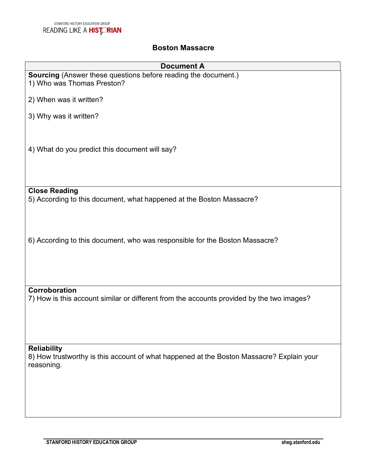# **Boston Massacre**

| <b>Document A</b>                                                                                                            |
|------------------------------------------------------------------------------------------------------------------------------|
| <b>Sourcing</b> (Answer these questions before reading the document.)<br>1) Who was Thomas Preston?                          |
| 2) When was it written?                                                                                                      |
| 3) Why was it written?                                                                                                       |
| 4) What do you predict this document will say?                                                                               |
|                                                                                                                              |
| <b>Close Reading</b><br>5) According to this document, what happened at the Boston Massacre?                                 |
| 6) According to this document, who was responsible for the Boston Massacre?                                                  |
| Corroboration<br>7) How is this account similar or different from the accounts provided by the two images?                   |
|                                                                                                                              |
| <b>Reliability</b><br>8) How trustworthy is this account of what happened at the Boston Massacre? Explain your<br>reasoning. |
|                                                                                                                              |